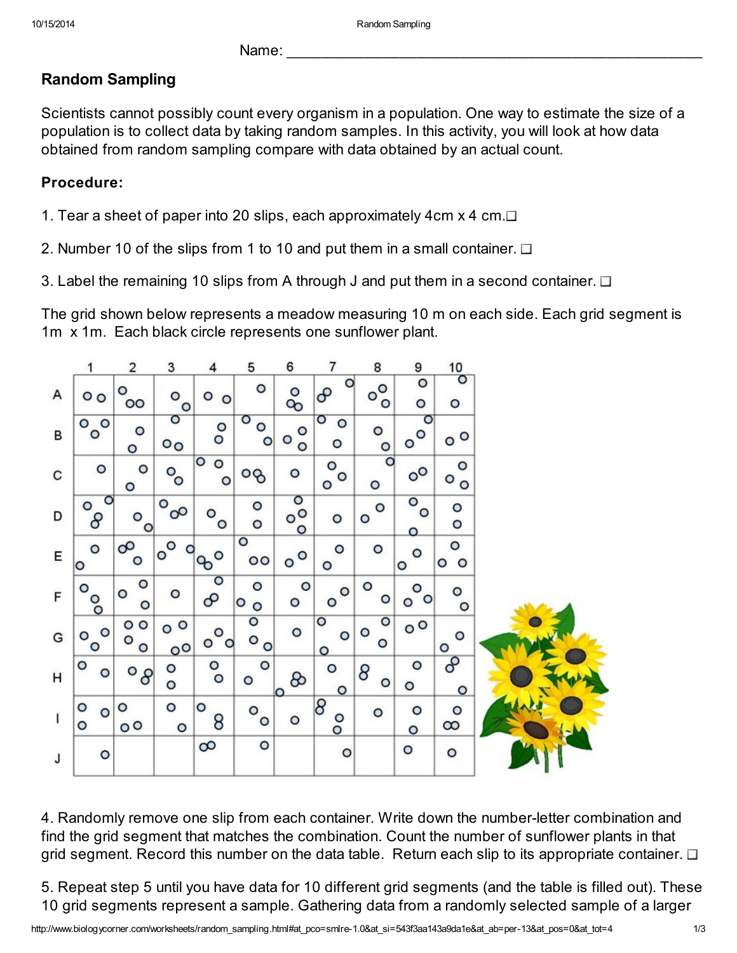Name:

## Random Sampling

Scientists cannot possibly count every organism in a population. One way to estimate the size of a population is to collect data by taking random samples. In this activity, you will look at how data obtained from random sampling compare with data obtained by an actual count.

## Procedure:

1. Tear a sheet of paper into 20 slips, each approximately 4cm  $x$  4 cm. $\Box$ 

2. Number 10 of the slips from 1 to 10 and put them in a small container.  $\Box$ 

3. Label the remaining 10 slips from A through J and put them in a second container.  $\Box$ 

The grid shown below represents a meadow measuring 10 m on each side. Each grid segment is 1m x 1m. Each black circle represents one sunflower plant.

|   | 1                   | $\overline{\mathbf{c}}$ | 3                           | 4                             | 5                       | 6                                | 7                       | 8                          | 9                       | 10                      |  |
|---|---------------------|-------------------------|-----------------------------|-------------------------------|-------------------------|----------------------------------|-------------------------|----------------------------|-------------------------|-------------------------|--|
| А | $\circ$             | O<br>$\circ$            | O<br>$\circ$                | o<br>$\circ$                  | O                       | O<br>℅                           | ٥<br>൙                  | $\circ^{\circ}$<br>$\circ$ | $\circ$<br>$\circ$      | $\circ$<br>$\circ$      |  |
| В | 0 <sub>o</sub><br>O | $\circ$<br>$\circ$      | $\circ$<br>$\circ$          | $\circ$<br>$\circ$            | O<br>$\circ$<br>$\circ$ | $\circ$<br>$\circ$<br>$\circ$    | $\circ$<br>$\circ$<br>o | o<br>$\circ$               | O<br>$\circ^{\circ}$    | $^{\circ}$              |  |
| С | $\circ$             | $\circ$<br>$\circ$      | $\circ_{\circ}$             | $\circ$<br>$\circ$<br>$\circ$ | იგ                      | O                                | $\circ$<br>$\circ$<br>O | O<br>O                     | $^{\circ}$              | O<br>O<br>$\circ$       |  |
| D | O<br>$\circ$<br>8   | o<br>O                  | $\circ$<br>$\infty$         | O<br>$\circ$                  | o<br>O                  | $\circ$<br>$^{\circ}$<br>$\circ$ | O                       | O<br>o                     | $\circ$<br>o<br>$\circ$ | $\circ$<br>O            |  |
| Ε | $\mathsf{o}$<br>Ю   | တ<br>o                  | $\circ^{\circ}$             | $\circ$<br><b>PO</b>          | $\circ$<br>$\circ$      | $\circ$<br>$\circ$               | O<br>$\circ$            | $\circ$                    | $\circ$<br>O            | $\circ$<br>$\circ$<br>o |  |
| F | $\circ$             | O<br>O<br>$\circ$       | $\circ$                     | $\overline{\circ}$<br>ᡐ       | O<br>Ю<br>$\circ$       | O<br>O                           | $\circ$<br>$\circ$      | $\circ$<br>O               | $\circ$<br>$\circ$<br>O | $\circ$<br>O            |  |
| G | $\circ$<br>O<br>O   | $\circ$<br>o<br>$\circ$ | $\circ$<br>O<br>$0^{\circ}$ | $\circ$<br>o<br>$\circ$       | o<br>O<br>$\circ$       | O                                | O<br>$\circ$<br>$\circ$ | O<br>O<br>O                | $^{\circ}$              | $\circ$<br>$\circ$      |  |
| н | $\circ$<br>O        | $^{\circ}$              | O<br>$\circ$                | $\circ$<br>$\circ$            | $\circ$<br>$\circ$      | 8<br>lo                          | o<br>$\circ$            | 8<br>$\circ$               | $\circ$<br>O            | 8<br>$\circ$            |  |
| I | o<br>O<br>O         | $\circ$<br>$^{\circ}$   | O<br>$\circ$                | О<br>8                        | $\circ$<br>$\circ$      | O                                | 8<br>$\overline{\circ}$ | O                          | O<br>$\circ$            | $\circ$<br>$\infty$     |  |
| J | $\circ$             |                         |                             | $\infty$                      | o                       |                                  | $\circ$                 |                            | O                       | $\circ$                 |  |

4. Randomly remove one slip from each container. Write down the number-letter combination and find the grid segment that matches the combination. Count the number of sunflower plants in that grid segment. Record this number on the data table. Return each slip to its appropriate container.  $\Box$ 

5. Repeat step 5 until you have data for 10 different grid segments (and the table is filled out). These 10 grid segments represent a sample. Gathering data from a randomly selected sample of a larger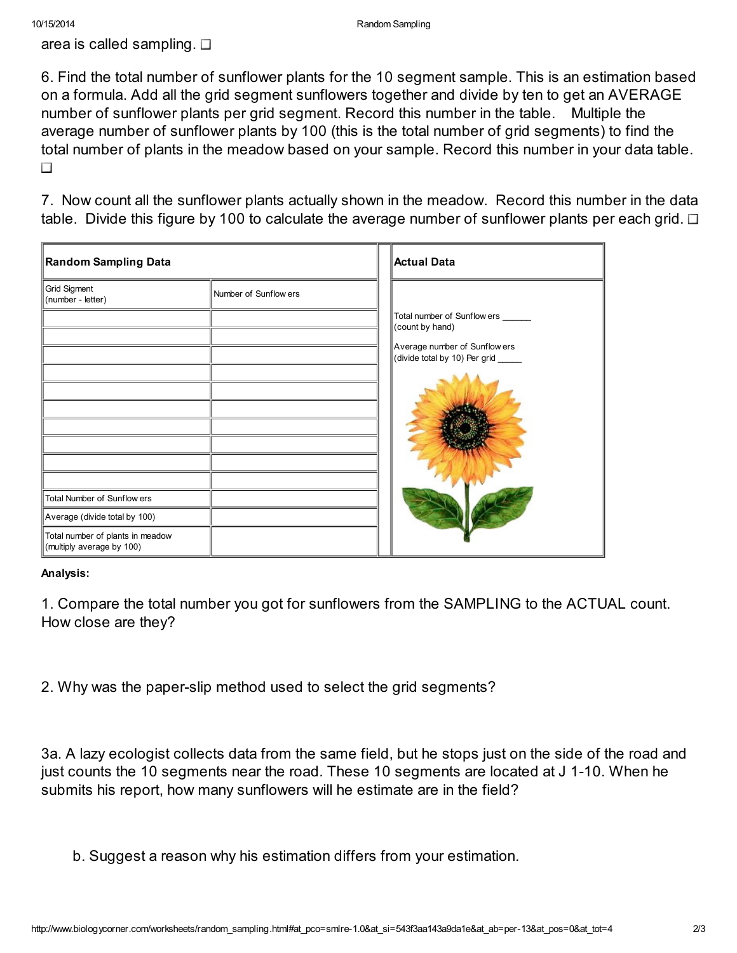area is called sampling.  $\Box$ 

6. Find the total number of sunflower plants for the 10 segment sample. This is an estimation based on a formula. Add all the grid segment sunflowers together and divide by ten to get an AVERAGE number of sunflower plants per grid segment. Record this number in the table. Multiple the average number of sunflower plants by 100 (this is the total number of grid segments) to find the total number of plants in the meadow based on your sample. Record this number in your data table.  $\Box$ 

7. Now count all the sunflower plants actually shown in the meadow. Record this number in the data table. Divide this figure by 100 to calculate the average number of sunflower plants per each grid.  $\Box$ 

| <b>Random Sampling Data</b>                                   | Actual Data           |                                                                      |  |
|---------------------------------------------------------------|-----------------------|----------------------------------------------------------------------|--|
| Grid Sigment<br>(number - letter)                             | Number of Sunflow ers |                                                                      |  |
|                                                               |                       | Total number of Sunflow ers ______<br>(count by hand)                |  |
|                                                               |                       | Average number of Sunflow ers<br>(divide total by 10) Per grid _____ |  |
|                                                               |                       |                                                                      |  |
|                                                               |                       |                                                                      |  |
|                                                               |                       |                                                                      |  |
| Total Number of Sunflow ers                                   |                       |                                                                      |  |
| Average (divide total by 100)                                 |                       |                                                                      |  |
| Total number of plants in meadow<br>(multiply average by 100) |                       |                                                                      |  |

## Analysis:

1. Compare the total number you got for sunflowers from the SAMPLING to the ACTUAL count. How close are they?

2. Why was the paper-slip method used to select the grid segments?

3a. A lazy ecologist collects data from the same field, but he stops just on the side of the road and just counts the 10 segments near the road. These 10 segments are located at J 1-10. When he submits his report, how many sunflowers will he estimate are in the field?

b. Suggest a reason why his estimation differs from your estimation.